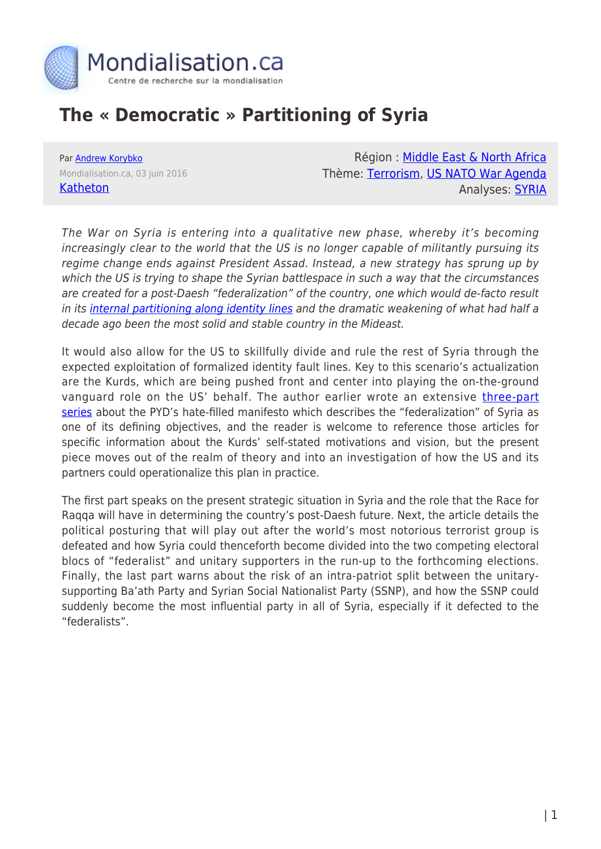

# **The « Democratic » Partitioning of Syria**

Par [Andrew Korybko](https://www.mondialisation.ca/author/andrew-korybko) Mondialisation.ca, 03 juin 2016 [Katheton](http://katehon.com/article/democratic-partitioning-syria)

Région : [Middle East & North Africa](https://www.mondialisation.ca/region/middle-east) Thème: [Terrorism](https://www.mondialisation.ca/theme/9-11-war-on-terrorism), [US NATO War Agenda](https://www.mondialisation.ca/theme/us-nato-war-agenda) Analyses: [SYRIA](https://www.mondialisation.ca/indepthreport/syria-nato-s-next-war)

The War on Syria is entering into a qualitative new phase, whereby it's becoming increasingly clear to the world that the US is no longer capable of militantly pursuing its regime change ends against President Assad. Instead, a new strategy has sprung up by which the US is trying to shape the Syrian battlespace in such a way that the circumstances are created for a post-Daesh "federalization" of the country, one which would de-facto result in its [internal partitioning along identity lines](http://niiglob.ru/en/publications/articles/591-part-i-identity-federalism-from-e-pluribus-unum-to-e-unum-pluribus.html) and the dramatic weakening of what had half a decade ago been the most solid and stable country in the Mideast.

It would also allow for the US to skillfully divide and rule the rest of Syria through the expected exploitation of formalized identity fault lines. Key to this scenario's actualization are the Kurds, which are being pushed front and center into playing the on-the-ground vanguard role on the US' behalf. The author earlier wrote an extensive [three-part](http://katehon.com/article/kurds-hate-filled-federalization-manifesto-part-iii) [series](http://katehon.com/article/kurds-hate-filled-federalization-manifesto-part-iii) about the PYD's hate-filled manifesto which describes the "federalization" of Syria as one of its defining objectives, and the reader is welcome to reference those articles for specific information about the Kurds' self-stated motivations and vision, but the present piece moves out of the realm of theory and into an investigation of how the US and its partners could operationalize this plan in practice.

The first part speaks on the present strategic situation in Syria and the role that the Race for Raqqa will have in determining the country's post-Daesh future. Next, the article details the political posturing that will play out after the world's most notorious terrorist group is defeated and how Syria could thenceforth become divided into the two competing electoral blocs of "federalist" and unitary supporters in the run-up to the forthcoming elections. Finally, the last part warns about the risk of an intra-patriot split between the unitarysupporting Ba'ath Party and Syrian Social Nationalist Party (SSNP), and how the SSNP could suddenly become the most influential party in all of Syria, especially if it defected to the "federalists".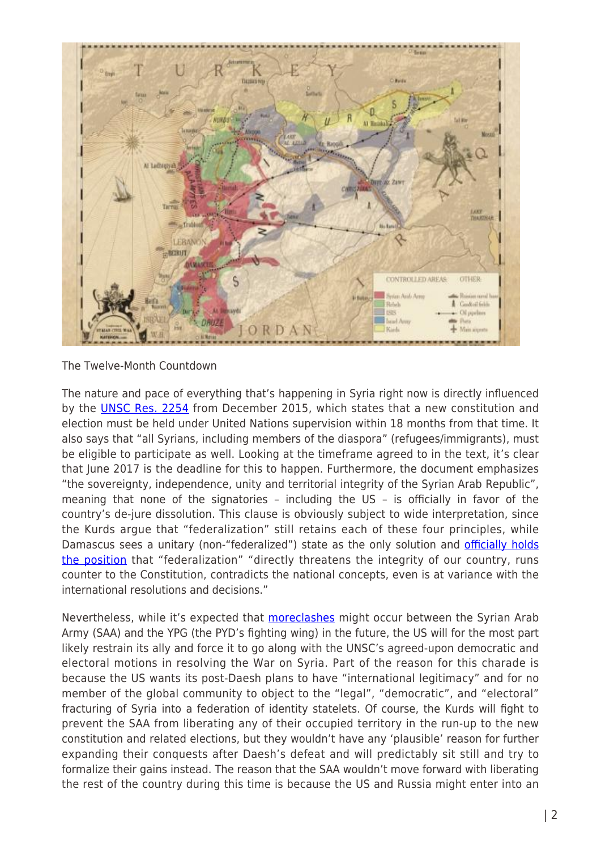

The Twelve-Month Countdown

The nature and pace of everything that's happening in Syria right now is directly influenced by the **[UNSC Res. 2254](http://www.un.org/press/en/2015/sc12171.doc.htm)** from December 2015, which states that a new constitution and election must be held under United Nations supervision within 18 months from that time. It also says that "all Syrians, including members of the diaspora" (refugees/immigrants), must be eligible to participate as well. Looking at the timeframe agreed to in the text, it's clear that June 2017 is the deadline for this to happen. Furthermore, the document emphasizes "the sovereignty, independence, unity and territorial integrity of the Syrian Arab Republic", meaning that none of the signatories – including the US – is officially in favor of the country's de-jure dissolution. This clause is obviously subject to wide interpretation, since the Kurds argue that "federalization" still retains each of these four principles, while Damascus sees a unitary (non-"federalized") state as the only solution and [officially holds](http://sputniknews.com/politics/20160317/1036481779/security-kurds-region.html) [the position](http://sputniknews.com/politics/20160317/1036481779/security-kurds-region.html) that "federalization" "directly threatens the integrity of our country, runs counter to the Constitution, contradicts the national concepts, even is at variance with the international resolutions and decisions."

Nevertheless, while it's expected that [more](http://rudaw.net/english/middleeast/syria/18052016)[clashes](http://www.al-monitor.com/pulse/originals/2013/04/conflict-intensifies-syrian-kurdish-region.html) might occur between the Syrian Arab Army (SAA) and the YPG (the PYD's fighting wing) in the future, the US will for the most part likely restrain its ally and force it to go along with the UNSC's agreed-upon democratic and electoral motions in resolving the War on Syria. Part of the reason for this charade is because the US wants its post-Daesh plans to have "international legitimacy" and for no member of the global community to object to the "legal", "democratic", and "electoral" fracturing of Syria into a federation of identity statelets. Of course, the Kurds will fight to prevent the SAA from liberating any of their occupied territory in the run-up to the new constitution and related elections, but they wouldn't have any 'plausible' reason for further expanding their conquests after Daesh's defeat and will predictably sit still and try to formalize their gains instead. The reason that the SAA wouldn't move forward with liberating the rest of the country during this time is because the US and Russia might enter into an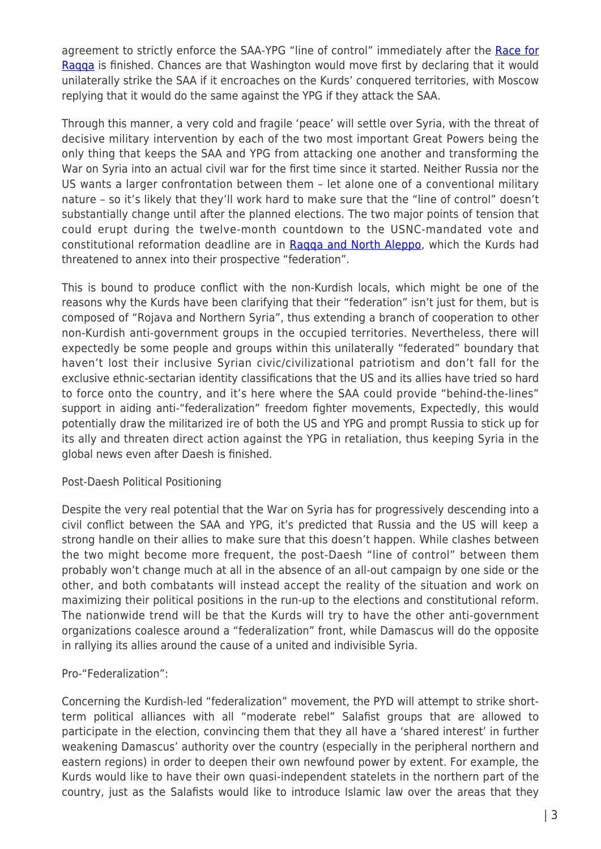agreement to strictly enforce the SAA-YPG "line of control" immediately after the [Race for](http://orientalreview.org/2015/10/14/the-race-for-raqqa-and-americas-geopolitical-revenge-in-syraq-i/) Ragga is finished. Chances are that Washington would move first by declaring that it would unilaterally strike the SAA if it encroaches on the Kurds' conquered territories, with Moscow replying that it would do the same against the YPG if they attack the SAA.

Through this manner, a very cold and fragile 'peace' will settle over Syria, with the threat of decisive military intervention by each of the two most important Great Powers being the only thing that keeps the SAA and YPG from attacking one another and transforming the War on Syria into an actual civil war for the first time since it started. Neither Russia nor the US wants a larger confrontation between them – let alone one of a conventional military nature – so it's likely that they'll work hard to make sure that the "line of control" doesn't substantially change until after the planned elections. The two major points of tension that could erupt during the twelve-month countdown to the USNC-mandated vote and constitutional reformation deadline are in Ragga and North Aleppo, which the Kurds had threatened to annex into their prospective "federation".

This is bound to produce conflict with the non-Kurdish locals, which might be one of the reasons why the Kurds have been clarifying that their "federation" isn't just for them, but is composed of "Rojava and Northern Syria", thus extending a branch of cooperation to other non-Kurdish anti-government groups in the occupied territories. Nevertheless, there will expectedly be some people and groups within this unilaterally "federated" boundary that haven't lost their inclusive Syrian civic/civilizational patriotism and don't fall for the exclusive ethnic-sectarian identity classifications that the US and its allies have tried so hard to force onto the country, and it's here where the SAA could provide "behind-the-lines" support in aiding anti-"federalization" freedom fighter movements, Expectedly, this would potentially draw the militarized ire of both the US and YPG and prompt Russia to stick up for its ally and threaten direct action against the YPG in retaliation, thus keeping Syria in the global news even after Daesh is finished.

## Post-Daesh Political Positioning

Despite the very real potential that the War on Syria has for progressively descending into a civil conflict between the SAA and YPG, it's predicted that Russia and the US will keep a strong handle on their allies to make sure that this doesn't happen. While clashes between the two might become more frequent, the post-Daesh "line of control" between them probably won't change much at all in the absence of an all-out campaign by one side or the other, and both combatants will instead accept the reality of the situation and work on maximizing their political positions in the run-up to the elections and constitutional reform. The nationwide trend will be that the Kurds will try to have the other anti-government organizations coalesce around a "federalization" front, while Damascus will do the opposite in rallying its allies around the cause of a united and indivisible Syria.

## Pro-"Federalization":

Concerning the Kurdish-led "federalization" movement, the PYD will attempt to strike shortterm political alliances with all "moderate rebel" Salafist groups that are allowed to participate in the election, convincing them that they all have a 'shared interest' in further weakening Damascus' authority over the country (especially in the peripheral northern and eastern regions) in order to deepen their own newfound power by extent. For example, the Kurds would like to have their own quasi-independent statelets in the northern part of the country, just as the Salafists would like to introduce Islamic law over the areas that they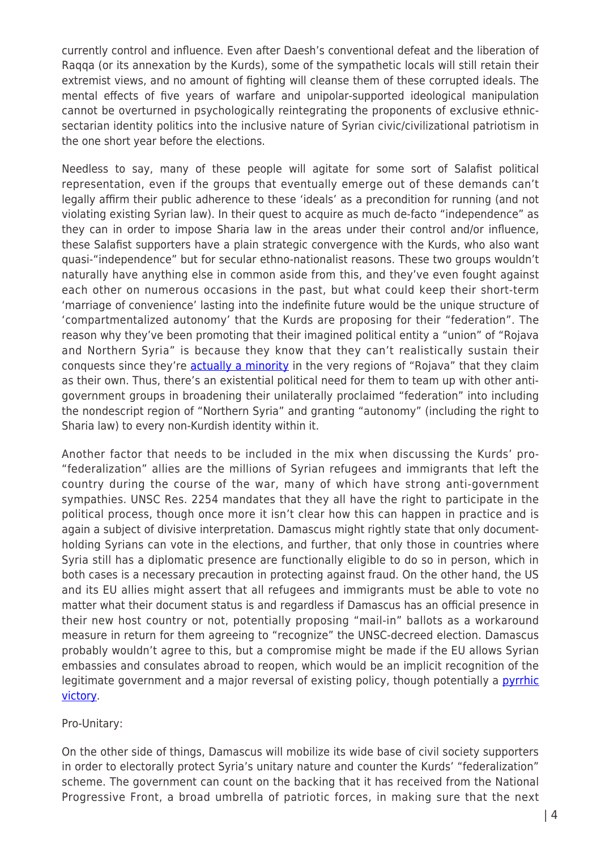currently control and influence. Even after Daesh's conventional defeat and the liberation of Raqqa (or its annexation by the Kurds), some of the sympathetic locals will still retain their extremist views, and no amount of fighting will cleanse them of these corrupted ideals. The mental effects of five years of warfare and unipolar-supported ideological manipulation cannot be overturned in psychologically reintegrating the proponents of exclusive ethnicsectarian identity politics into the inclusive nature of Syrian civic/civilizational patriotism in the one short year before the elections.

Needless to say, many of these people will agitate for some sort of Salafist political representation, even if the groups that eventually emerge out of these demands can't legally affirm their public adherence to these 'ideals' as a precondition for running (and not violating existing Syrian law). In their quest to acquire as much de-facto "independence" as they can in order to impose Sharia law in the areas under their control and/or influence, these Salafist supporters have a plain strategic convergence with the Kurds, who also want quasi-"independence" but for secular ethno-nationalist reasons. These two groups wouldn't naturally have anything else in common aside from this, and they've even fought against each other on numerous occasions in the past, but what could keep their short-term 'marriage of convenience' lasting into the indefinite future would be the unique structure of 'compartmentalized autonomy' that the Kurds are proposing for their "federation". The reason why they've been promoting that their imagined political entity a "union" of "Rojava and Northern Syria" is because they know that they can't realistically sustain their conquests since they're **[actually a minority](https://gianalytics.org/690-why-a-kurdish-enclave-in-syria-is-a-very-bad-idea)** in the very regions of "Rojava" that they claim as their own. Thus, there's an existential political need for them to team up with other antigovernment groups in broadening their unilaterally proclaimed "federation" into including the nondescript region of "Northern Syria" and granting "autonomy" (including the right to Sharia law) to every non-Kurdish identity within it.

Another factor that needs to be included in the mix when discussing the Kurds' pro- "federalization" allies are the millions of Syrian refugees and immigrants that left the country during the course of the war, many of which have strong anti-government sympathies. UNSC Res. 2254 mandates that they all have the right to participate in the political process, though once more it isn't clear how this can happen in practice and is again a subject of divisive interpretation. Damascus might rightly state that only documentholding Syrians can vote in the elections, and further, that only those in countries where Syria still has a diplomatic presence are functionally eligible to do so in person, which in both cases is a necessary precaution in protecting against fraud. On the other hand, the US and its EU allies might assert that all refugees and immigrants must be able to vote no matter what their document status is and regardless if Damascus has an official presence in their new host country or not, potentially proposing "mail-in" ballots as a workaround measure in return for them agreeing to "recognize" the UNSC-decreed election. Damascus probably wouldn't agree to this, but a compromise might be made if the EU allows Syrian embassies and consulates abroad to reopen, which would be an implicit recognition of the legitimate government and a major reversal of existing policy, though potentially a *[pyrrhic](http://katehon.com/article/syrias-democracy-last-defense-against-federalization)* [victory.](http://katehon.com/article/syrias-democracy-last-defense-against-federalization)

Pro-Unitary:

On the other side of things, Damascus will mobilize its wide base of civil society supporters in order to electorally protect Syria's unitary nature and counter the Kurds' "federalization" scheme. The government can count on the backing that it has received from the National Progressive Front, a broad umbrella of patriotic forces, in making sure that the next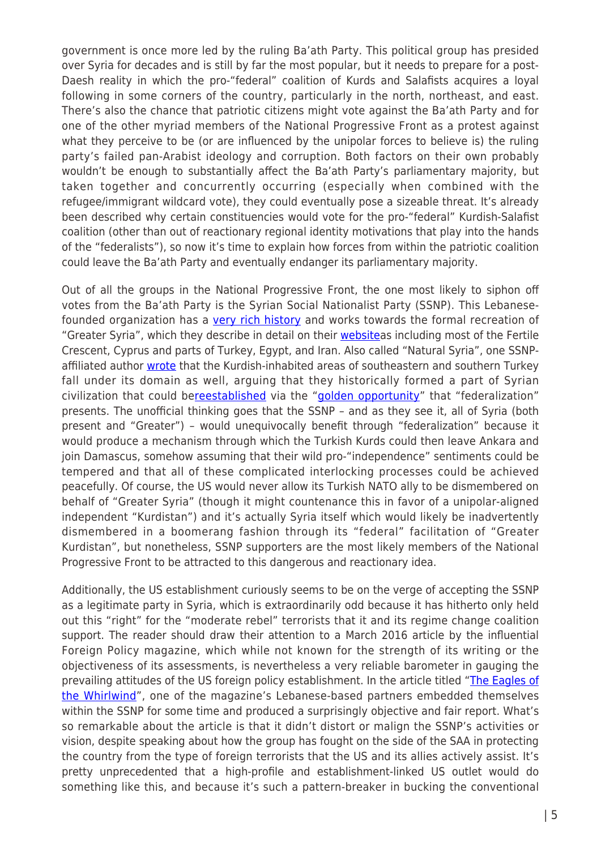government is once more led by the ruling Ba'ath Party. This political group has presided over Syria for decades and is still by far the most popular, but it needs to prepare for a post-Daesh reality in which the pro-"federal" coalition of Kurds and Salafists acquires a loyal following in some corners of the country, particularly in the north, northeast, and east. There's also the chance that patriotic citizens might vote against the Ba'ath Party and for one of the other myriad members of the National Progressive Front as a protest against what they perceive to be (or are influenced by the unipolar forces to believe is) the ruling party's failed pan-Arabist ideology and corruption. Both factors on their own probably wouldn't be enough to substantially affect the Ba'ath Party's parliamentary majority, but taken together and concurrently occurring (especially when combined with the refugee/immigrant wildcard vote), they could eventually pose a sizeable threat. It's already been described why certain constituencies would vote for the pro-"federal" Kurdish-Salafist coalition (other than out of reactionary regional identity motivations that play into the hands of the "federalists"), so now it's time to explain how forces from within the patriotic coalition could leave the Ba'ath Party and eventually endanger its parliamentary majority.

Out of all the groups in the National Progressive Front, the one most likely to siphon off votes from the Ba'ath Party is the Syrian Social Nationalist Party (SSNP). This Lebanesefounded organization has a [very rich history](http://www.all4syria.info/Archive/313475) and works towards the formal recreation of "Greater Syria", which they describe in detail on their **websiteas** including most of the Fertile Crescent, Cyprus and parts of Turkey, Egypt, and Iran. Also called "Natural Syria", one SSNPaffiliated author [wrote](http://thesaker.is/syrian-turkish-border-security-check-point-taurus/) that the Kurdish-inhabited areas of southeastern and southern Turkey fall under its domain as well, arguing that they historically formed a part of Syrian civilization that could be[reestablished](http://thesaker.is/kurdish-autonomy-partition-or-master-plan/) via the "[golden opportunity"](http://sputniknews.com/politics/20160326/1037022838/kurds-federalization-syria.html) that "federalization" presents. The unofficial thinking goes that the SSNP – and as they see it, all of Syria (both present and "Greater") – would unequivocally benefit through "federalization" because it would produce a mechanism through which the Turkish Kurds could then leave Ankara and join Damascus, somehow assuming that their wild pro-"independence" sentiments could be tempered and that all of these complicated interlocking processes could be achieved peacefully. Of course, the US would never allow its Turkish NATO ally to be dismembered on behalf of "Greater Syria" (though it might countenance this in favor of a unipolar-aligned independent "Kurdistan") and it's actually Syria itself which would likely be inadvertently dismembered in a boomerang fashion through its "federal" facilitation of "Greater Kurdistan", but nonetheless, SSNP supporters are the most likely members of the National Progressive Front to be attracted to this dangerous and reactionary idea.

Additionally, the US establishment curiously seems to be on the verge of accepting the SSNP as a legitimate party in Syria, which is extraordinarily odd because it has hitherto only held out this "right" for the "moderate rebel" terrorists that it and its regime change coalition support. The reader should draw their attention to a March 2016 article by the influential Foreign Policy magazine, which while not known for the strength of its writing or the objectiveness of its assessments, is nevertheless a very reliable barometer in gauging the prevailing attitudes of the US foreign policy establishment. In the article titled "[The Eagles of](http://foreignpolicy.com/2016/03/28/the-eagles-of-the-whirlwind/) [the Whirlwind](http://foreignpolicy.com/2016/03/28/the-eagles-of-the-whirlwind/)", one of the magazine's Lebanese-based partners embedded themselves within the SSNP for some time and produced a surprisingly objective and fair report. What's so remarkable about the article is that it didn't distort or malign the SSNP's activities or vision, despite speaking about how the group has fought on the side of the SAA in protecting the country from the type of foreign terrorists that the US and its allies actively assist. It's pretty unprecedented that a high-profile and establishment-linked US outlet would do something like this, and because it's such a pattern-breaker in bucking the conventional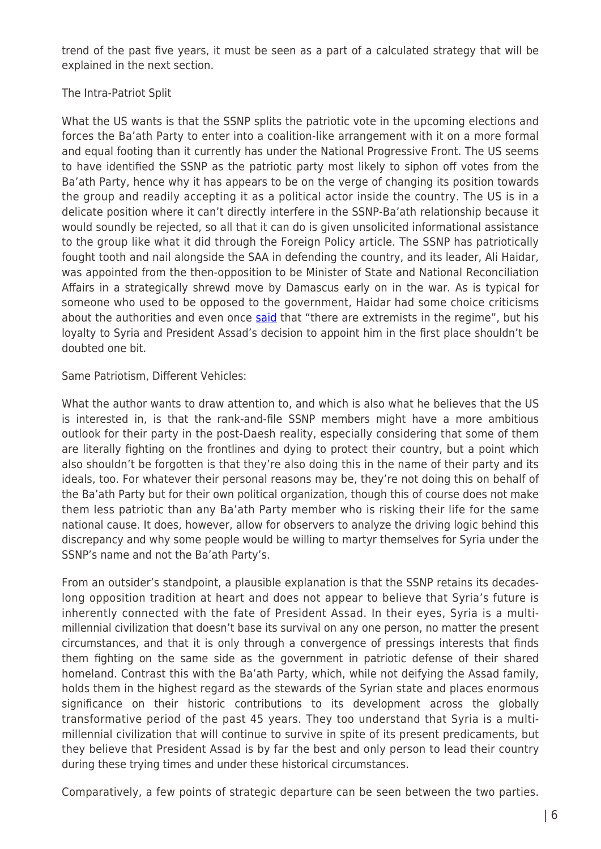trend of the past five years, it must be seen as a part of a calculated strategy that will be explained in the next section.

#### The Intra-Patriot Split

What the US wants is that the SSNP splits the patriotic vote in the upcoming elections and forces the Ba'ath Party to enter into a coalition-like arrangement with it on a more formal and equal footing than it currently has under the National Progressive Front. The US seems to have identified the SSNP as the patriotic party most likely to siphon off votes from the Ba'ath Party, hence why it has appears to be on the verge of changing its position towards the group and readily accepting it as a political actor inside the country. The US is in a delicate position where it can't directly interfere in the SSNP-Ba'ath relationship because it would soundly be rejected, so all that it can do is given unsolicited informational assistance to the group like what it did through the Foreign Policy article. The SSNP has patriotically fought tooth and nail alongside the SAA in defending the country, and its leader, Ali Haidar, was appointed from the then-opposition to be Minister of State and National Reconciliation Affairs in a strategically shrewd move by Damascus early on in the war. As is typical for someone who used to be opposed to the government, Haidar had some choice criticisms about the authorities and even once [said](http://english.al-akhbar.com/content/syrias-ali-haidar-both-sides-have-extremists) that "there are extremists in the regime", but his loyalty to Syria and President Assad's decision to appoint him in the first place shouldn't be doubted one bit.

Same Patriotism, Different Vehicles:

What the author wants to draw attention to, and which is also what he believes that the US is interested in, is that the rank-and-file SSNP members might have a more ambitious outlook for their party in the post-Daesh reality, especially considering that some of them are literally fighting on the frontlines and dying to protect their country, but a point which also shouldn't be forgotten is that they're also doing this in the name of their party and its ideals, too. For whatever their personal reasons may be, they're not doing this on behalf of the Ba'ath Party but for their own political organization, though this of course does not make them less patriotic than any Ba'ath Party member who is risking their life for the same national cause. It does, however, allow for observers to analyze the driving logic behind this discrepancy and why some people would be willing to martyr themselves for Syria under the SSNP's name and not the Ba'ath Party's.

From an outsider's standpoint, a plausible explanation is that the SSNP retains its decadeslong opposition tradition at heart and does not appear to believe that Syria's future is inherently connected with the fate of President Assad. In their eyes, Syria is a multimillennial civilization that doesn't base its survival on any one person, no matter the present circumstances, and that it is only through a convergence of pressings interests that finds them fighting on the same side as the government in patriotic defense of their shared homeland. Contrast this with the Ba'ath Party, which, while not deifying the Assad family, holds them in the highest regard as the stewards of the Syrian state and places enormous significance on their historic contributions to its development across the globally transformative period of the past 45 years. They too understand that Syria is a multimillennial civilization that will continue to survive in spite of its present predicaments, but they believe that President Assad is by far the best and only person to lead their country during these trying times and under these historical circumstances.

Comparatively, a few points of strategic departure can be seen between the two parties.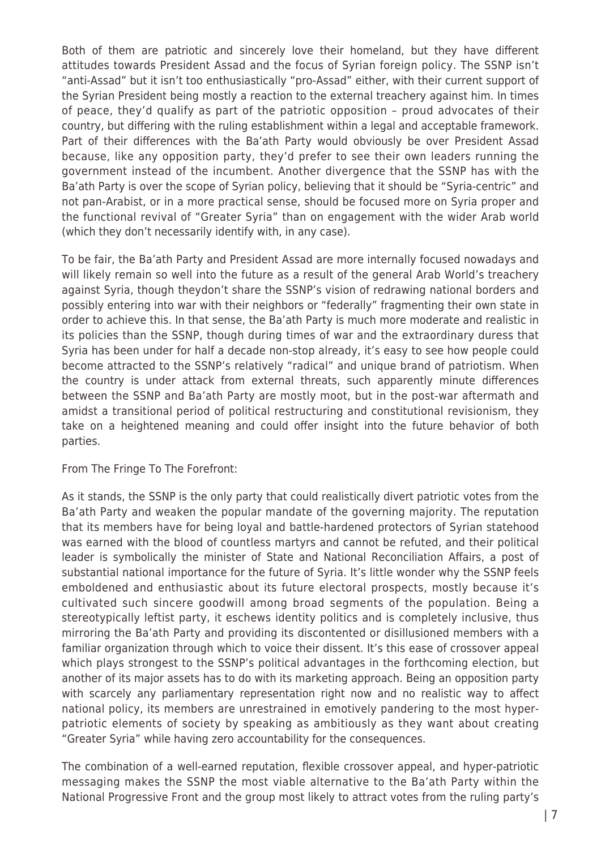Both of them are patriotic and sincerely love their homeland, but they have different attitudes towards President Assad and the focus of Syrian foreign policy. The SSNP isn't "anti-Assad" but it isn't too enthusiastically "pro-Assad" either, with their current support of the Syrian President being mostly a reaction to the external treachery against him. In times of peace, they'd qualify as part of the patriotic opposition – proud advocates of their country, but differing with the ruling establishment within a legal and acceptable framework. Part of their differences with the Ba'ath Party would obviously be over President Assad because, like any opposition party, they'd prefer to see their own leaders running the government instead of the incumbent. Another divergence that the SSNP has with the Ba'ath Party is over the scope of Syrian policy, believing that it should be "Syria-centric" and not pan-Arabist, or in a more practical sense, should be focused more on Syria proper and the functional revival of "Greater Syria" than on engagement with the wider Arab world (which they don't necessarily identify with, in any case).

To be fair, the Ba'ath Party and President Assad are more internally focused nowadays and will likely remain so well into the future as a result of the general Arab World's treachery against Syria, though theydon't share the SSNP's vision of redrawing national borders and possibly entering into war with their neighbors or "federally" fragmenting their own state in order to achieve this. In that sense, the Ba'ath Party is much more moderate and realistic in its policies than the SSNP, though during times of war and the extraordinary duress that Syria has been under for half a decade non-stop already, it's easy to see how people could become attracted to the SSNP's relatively "radical" and unique brand of patriotism. When the country is under attack from external threats, such apparently minute differences between the SSNP and Ba'ath Party are mostly moot, but in the post-war aftermath and amidst a transitional period of political restructuring and constitutional revisionism, they take on a heightened meaning and could offer insight into the future behavior of both parties.

#### From The Fringe To The Forefront:

As it stands, the SSNP is the only party that could realistically divert patriotic votes from the Ba'ath Party and weaken the popular mandate of the governing majority. The reputation that its members have for being loyal and battle-hardened protectors of Syrian statehood was earned with the blood of countless martyrs and cannot be refuted, and their political leader is symbolically the minister of State and National Reconciliation Affairs, a post of substantial national importance for the future of Syria. It's little wonder why the SSNP feels emboldened and enthusiastic about its future electoral prospects, mostly because it's cultivated such sincere goodwill among broad segments of the population. Being a stereotypically leftist party, it eschews identity politics and is completely inclusive, thus mirroring the Ba'ath Party and providing its discontented or disillusioned members with a familiar organization through which to voice their dissent. It's this ease of crossover appeal which plays strongest to the SSNP's political advantages in the forthcoming election, but another of its major assets has to do with its marketing approach. Being an opposition party with scarcely any parliamentary representation right now and no realistic way to affect national policy, its members are unrestrained in emotively pandering to the most hyperpatriotic elements of society by speaking as ambitiously as they want about creating "Greater Syria" while having zero accountability for the consequences.

The combination of a well-earned reputation, flexible crossover appeal, and hyper-patriotic messaging makes the SSNP the most viable alternative to the Ba'ath Party within the National Progressive Front and the group most likely to attract votes from the ruling party's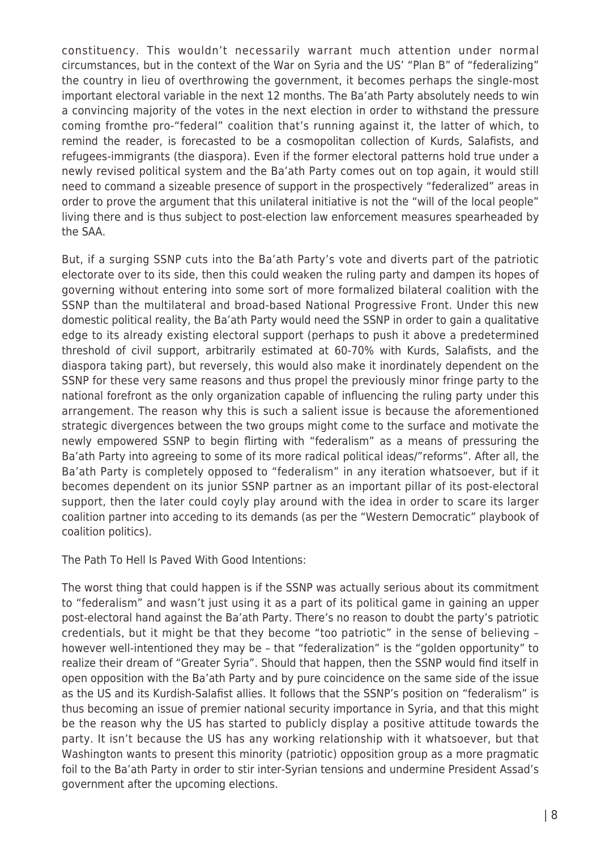constituency. This wouldn't necessarily warrant much attention under normal circumstances, but in the context of the War on Syria and the US' "Plan B" of "federalizing" the country in lieu of overthrowing the government, it becomes perhaps the single-most important electoral variable in the next 12 months. The Ba'ath Party absolutely needs to win a convincing majority of the votes in the next election in order to withstand the pressure coming fromthe pro-"federal" coalition that's running against it, the latter of which, to remind the reader, is forecasted to be a cosmopolitan collection of Kurds, Salafists, and refugees-immigrants (the diaspora). Even if the former electoral patterns hold true under a newly revised political system and the Ba'ath Party comes out on top again, it would still need to command a sizeable presence of support in the prospectively "federalized" areas in order to prove the argument that this unilateral initiative is not the "will of the local people" living there and is thus subject to post-election law enforcement measures spearheaded by the SAA.

But, if a surging SSNP cuts into the Ba'ath Party's vote and diverts part of the patriotic electorate over to its side, then this could weaken the ruling party and dampen its hopes of governing without entering into some sort of more formalized bilateral coalition with the SSNP than the multilateral and broad-based National Progressive Front. Under this new domestic political reality, the Ba'ath Party would need the SSNP in order to gain a qualitative edge to its already existing electoral support (perhaps to push it above a predetermined threshold of civil support, arbitrarily estimated at 60-70% with Kurds, Salafists, and the diaspora taking part), but reversely, this would also make it inordinately dependent on the SSNP for these very same reasons and thus propel the previously minor fringe party to the national forefront as the only organization capable of influencing the ruling party under this arrangement. The reason why this is such a salient issue is because the aforementioned strategic divergences between the two groups might come to the surface and motivate the newly empowered SSNP to begin flirting with "federalism" as a means of pressuring the Ba'ath Party into agreeing to some of its more radical political ideas/"reforms". After all, the Ba'ath Party is completely opposed to "federalism" in any iteration whatsoever, but if it becomes dependent on its junior SSNP partner as an important pillar of its post-electoral support, then the later could coyly play around with the idea in order to scare its larger coalition partner into acceding to its demands (as per the "Western Democratic" playbook of coalition politics).

The Path To Hell Is Paved With Good Intentions:

The worst thing that could happen is if the SSNP was actually serious about its commitment to "federalism" and wasn't just using it as a part of its political game in gaining an upper post-electoral hand against the Ba'ath Party. There's no reason to doubt the party's patriotic credentials, but it might be that they become "too patriotic" in the sense of believing – however well-intentioned they may be – that "federalization" is the "golden opportunity" to realize their dream of "Greater Syria". Should that happen, then the SSNP would find itself in open opposition with the Ba'ath Party and by pure coincidence on the same side of the issue as the US and its Kurdish-Salafist allies. It follows that the SSNP's position on "federalism" is thus becoming an issue of premier national security importance in Syria, and that this might be the reason why the US has started to publicly display a positive attitude towards the party. It isn't because the US has any working relationship with it whatsoever, but that Washington wants to present this minority (patriotic) opposition group as a more pragmatic foil to the Ba'ath Party in order to stir inter-Syrian tensions and undermine President Assad's government after the upcoming elections.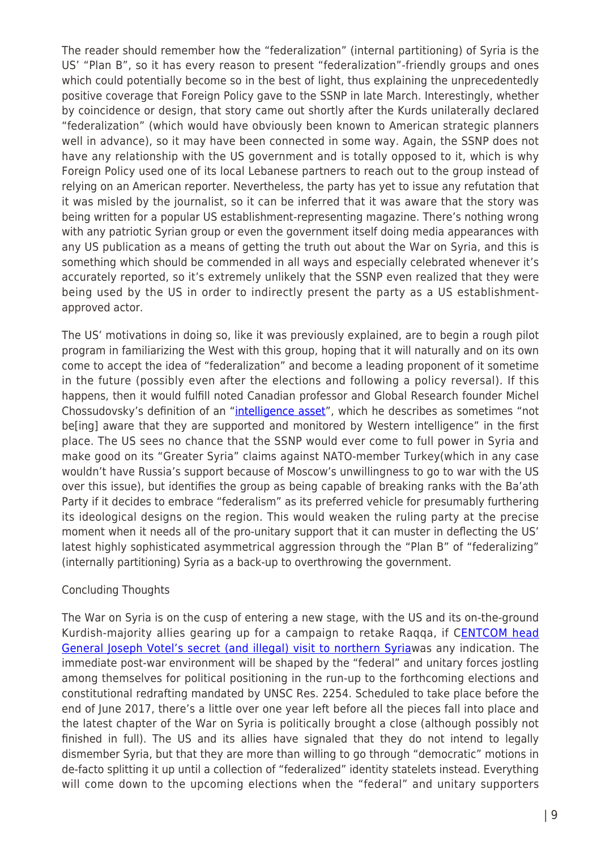The reader should remember how the "federalization" (internal partitioning) of Syria is the US' "Plan B", so it has every reason to present "federalization"-friendly groups and ones which could potentially become so in the best of light, thus explaining the unprecedentedly positive coverage that Foreign Policy gave to the SSNP in late March. Interestingly, whether by coincidence or design, that story came out shortly after the Kurds unilaterally declared "federalization" (which would have obviously been known to American strategic planners well in advance), so it may have been connected in some way. Again, the SSNP does not have any relationship with the US government and is totally opposed to it, which is why Foreign Policy used one of its local Lebanese partners to reach out to the group instead of relying on an American reporter. Nevertheless, the party has yet to issue any refutation that it was misled by the journalist, so it can be inferred that it was aware that the story was being written for a popular US establishment-representing magazine. There's nothing wrong with any patriotic Syrian group or even the government itself doing media appearances with any US publication as a means of getting the truth out about the War on Syria, and this is something which should be commended in all ways and especially celebrated whenever it's accurately reported, so it's extremely unlikely that the SSNP even realized that they were being used by the US in order to indirectly present the party as a US establishmentapproved actor.

The US' motivations in doing so, like it was previously explained, are to begin a rough pilot program in familiarizing the West with this group, hoping that it will naturally and on its own come to accept the idea of "federalization" and become a leading proponent of it sometime in the future (possibly even after the elections and following a policy reversal). If this happens, then it would fulfill noted Canadian professor and Global Research founder Michel Chossudovsky's definition of an "[intelligence asset"](http://www.globalresearch.ca/mastermind-of-the-bamako-terror-attack-mokhtar-belmohktar-a-cia-sponsored-intelligence-asset/5490396), which he describes as sometimes "not be[ing] aware that they are supported and monitored by Western intelligence" in the first place. The US sees no chance that the SSNP would ever come to full power in Syria and make good on its "Greater Syria" claims against NATO-member Turkey(which in any case wouldn't have Russia's support because of Moscow's unwillingness to go to war with the US over this issue), but identifies the group as being capable of breaking ranks with the Ba'ath Party if it decides to embrace "federalism" as its preferred vehicle for presumably furthering its ideological designs on the region. This would weaken the ruling party at the precise moment when it needs all of the pro-unitary support that it can muster in deflecting the US' latest highly sophisticated asymmetrical aggression through the "Plan B" of "federalizing" (internally partitioning) Syria as a back-up to overthrowing the government.

## Concluding Thoughts

The War on Syria is on the cusp of entering a new stage, with the US and its on-the-ground Kurdish-majority allies gearing up for a campaign to retake Raqqa, if C**[ENTCOM head](https://www.rt.com/news/343983-syria-raqqa-us-general-kurds/)** [General Joseph Votel's secret \(and illegal\) visit to northern Syriaw](https://www.rt.com/news/343983-syria-raqqa-us-general-kurds/)as any indication. The immediate post-war environment will be shaped by the "federal" and unitary forces jostling among themselves for political positioning in the run-up to the forthcoming elections and constitutional redrafting mandated by UNSC Res. 2254. Scheduled to take place before the end of June 2017, there's a little over one year left before all the pieces fall into place and the latest chapter of the War on Syria is politically brought a close (although possibly not finished in full). The US and its allies have signaled that they do not intend to legally dismember Syria, but that they are more than willing to go through "democratic" motions in de-facto splitting it up until a collection of "federalized" identity statelets instead. Everything will come down to the upcoming elections when the "federal" and unitary supporters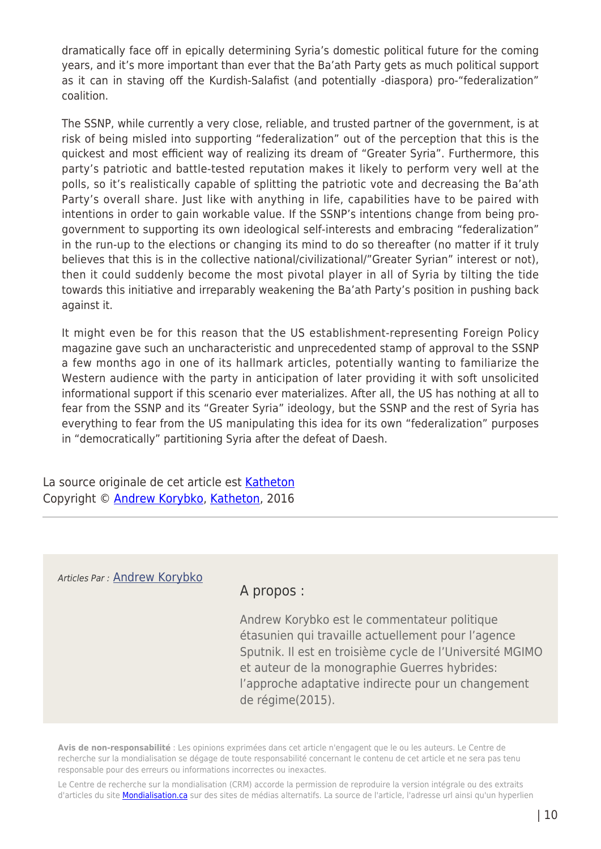dramatically face off in epically determining Syria's domestic political future for the coming years, and it's more important than ever that the Ba'ath Party gets as much political support as it can in staving off the Kurdish-Salafist (and potentially -diaspora) pro-"federalization" coalition.

The SSNP, while currently a very close, reliable, and trusted partner of the government, is at risk of being misled into supporting "federalization" out of the perception that this is the quickest and most efficient way of realizing its dream of "Greater Syria". Furthermore, this party's patriotic and battle-tested reputation makes it likely to perform very well at the polls, so it's realistically capable of splitting the patriotic vote and decreasing the Ba'ath Party's overall share. Just like with anything in life, capabilities have to be paired with intentions in order to gain workable value. If the SSNP's intentions change from being progovernment to supporting its own ideological self-interests and embracing "federalization" in the run-up to the elections or changing its mind to do so thereafter (no matter if it truly believes that this is in the collective national/civilizational/"Greater Syrian" interest or not), then it could suddenly become the most pivotal player in all of Syria by tilting the tide towards this initiative and irreparably weakening the Ba'ath Party's position in pushing back against it.

It might even be for this reason that the US establishment-representing Foreign Policy magazine gave such an uncharacteristic and unprecedented stamp of approval to the SSNP a few months ago in one of its hallmark articles, potentially wanting to familiarize the Western audience with the party in anticipation of later providing it with soft unsolicited informational support if this scenario ever materializes. After all, the US has nothing at all to fear from the SSNP and its "Greater Syria" ideology, but the SSNP and the rest of Syria has everything to fear from the US manipulating this idea for its own "federalization" purposes in "democratically" partitioning Syria after the defeat of Daesh.

La source originale de cet article est [Katheton](http://katehon.com/article/democratic-partitioning-syria) Copyright © [Andrew Korybko,](https://www.mondialisation.ca/author/andrew-korybko) [Katheton,](http://katehon.com/article/democratic-partitioning-syria) 2016

### Articles Par : [Andrew Korybko](https://www.mondialisation.ca/author/andrew-korybko)

## A propos :

Andrew Korybko est le commentateur politique étasunien qui travaille actuellement pour l'agence Sputnik. Il est en troisième cycle de l'Université MGIMO et auteur de la monographie Guerres hybrides: l'approche adaptative indirecte pour un changement de régime(2015).

**Avis de non-responsabilité** : Les opinions exprimées dans cet article n'engagent que le ou les auteurs. Le Centre de recherche sur la mondialisation se dégage de toute responsabilité concernant le contenu de cet article et ne sera pas tenu responsable pour des erreurs ou informations incorrectes ou inexactes.

Le Centre de recherche sur la mondialisation (CRM) accorde la permission de reproduire la version intégrale ou des extraits d'articles du site [Mondialisation.ca](https://mondialisation.ca) sur des sites de médias alternatifs. La source de l'article, l'adresse url ainsi qu'un hyperlien